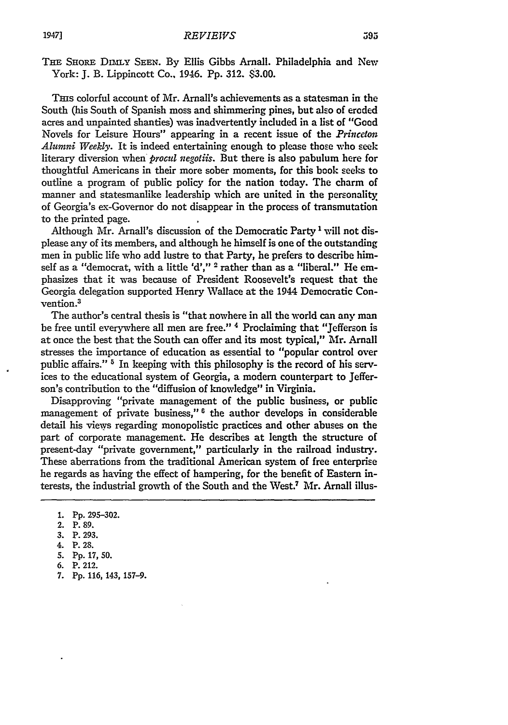THE SHORE DIMLY SEEN. By Ellis Gibbs Arnall. Philadelphia and New York: **J. B. Lippincott Co., 1946. Pp. 312. \$3.00.** 

Tins colorful account of Mr. Arnall's achievements as a statesman in the South (his South of Spanish moss and shimmering pines, but also of eroded acres and unpainted shanties) was inadvertently included in a list of "Good Novels for Leisure Hours" appearing in a recent issue of the *Princeon Alumni Weekly.* It is indeed entertaining enough to please those who seek literary diversion when *procul negotiis.* But there is also pabulum here for thoughtful Americans in their more sober moments, for this book seeks to outline a program of public policy for the nation today. The charm of manner and statesmanlike leadership which are united in the personality of Georgia's ex-Governor do not disappear in the process of transmutation to the printed page.

Although Mr. Arnall's discussion of the Democratic Party 1 will not displease any of its members, and although he himself is one of the outstanding men in public life who add lustre to that Party, he prefers to describe himself as a "democrat, with a little 'd'," **2** rather than as a "liberal." He emphasizes that it was because of President Roosevelt's request that the Georgia delegation supported Henry Wallace at the 1944 Democratic Convention.<sup>3</sup>

The author's central thesis is "that nowhere in all the world can any man be free until everywhere all men are free." 4 Proclaiming that "Jefferson is at once the best that the South can offer and its most typical," Mr. Arnall stresses the importance of education as essential to "popular control over public affairs." **'** In keeping with this philosophy is the record of his services to the educational system of Georgia, a modem counterpart to Jefferson's contribution to the "diffusion of knowledge" in Virginia.

Disapproving "private management of the public business, or public management of private business," **6** the author develops in considerable detail his views regarding monopolistic practices and other abuses on the part of corporate management. He describes at length the structure of present-day "private government," particularly in the railroad industry. These aberrations from the traditional American system of free enterprise he regards as having the effect of hampering, for the benefit of Eastern interests, the industrial growth of the South and the West.7 Mr. Arnall illus-

- 3. P. 293.
- 4. P. 28.
- 5. Pp. 17, 50.
- 6. P. 212.
- 7. **Pp. 116,** 143, 157-9.

<sup>1.</sup> Pp. 295-302.

<sup>2.</sup> P. **89.**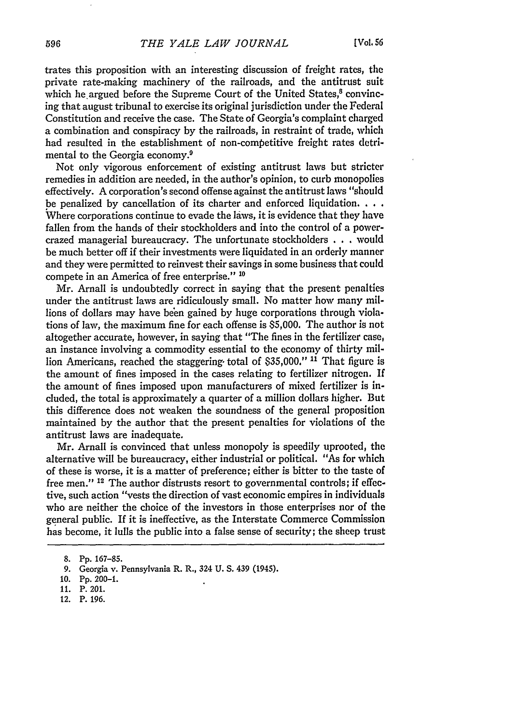trates this proposition with an interesting discussion of freight rates, the private rate-making machinery of the railroads, and the antitrust suit which he argued before the Supreme Court of the United States,<sup>8</sup> convincing that august tribunal to exercise its original jurisdiction under the Federal Constitution and receive the case. The State of Georgia's complaint charged a combination and conspiracy **by** the railroads, in restraint of trade, which had resulted in the establishment of non-competitive freight rates detrimental to the Georgia economy.9

Not only vigorous enforcement of existing antitrust laws but stricter remedies in addition are needed, in the author's opinion, to curb monopolies effectively. A corporation's second offense against the antitrust laws "should be penalized **by** cancellation of its charter and enforced liquidation **...** Where corporations continue to evade the laws, it is evidence that they have fallen from the hands of their stockholders and into the control of a powercrazed managerial bureaucracy. The unfortunate stockholders  $\dots$  would be much better off if their investments were liquidated in an orderly manner and they were permitted to reinvest their savings in some business that could compete in an America of free enterprise." **10**

Mr. Arnall is undoubtedly correct in saying that the present penalties under the antitrust laws are ridiculously small. No matter how many millions of dollars may have been gained by huge corporations through violations of law, the maximum fine for each offense is \$5,000. The author is not altogether accurate, however, in saying that "The fines in the fertilizer case, an instance involving a commodity essential to the economy of thirty million Americans, reached the staggering, total of \$35,000." **11** That figure is the amount of fines imposed in the cases relating to fertilizer nitrogen. If the amount of fines imposed upon manufacturers of mixed fertilizer is included, the total is approximately a quarter of a million dollars higher. But this difference does not weaken the soundness of the general proposition maintained **by** the author that the present penalties for violations of the antitrust laws are inadequate.

Mr. Arnall is convinced that unless monopoly is speedily uprooted, the alternative will be bureaucracy, either industrial or political. "As for which of these is worse, it is a matter of preference; either is bitter to the taste of free men." **12** The author distrusts resort to governmental controls; if effective, such action "vests the direction of vast economic empires in individuals who are neither the choice of the investors in those enterprises nor of the general public. If it is ineffective, as the Interstate Commerce Commission has become, it lulls the public into a false sense of security; the sheep trust

12. P. 196.

<sup>8.</sup> Pp. **167-85.**

**<sup>9.</sup>** Georgia v. Pennsylvania R. R., 324 **U. S.** 439 (1945).

<sup>10.</sup> Pp. 200-1.

<sup>11.</sup> P. 201.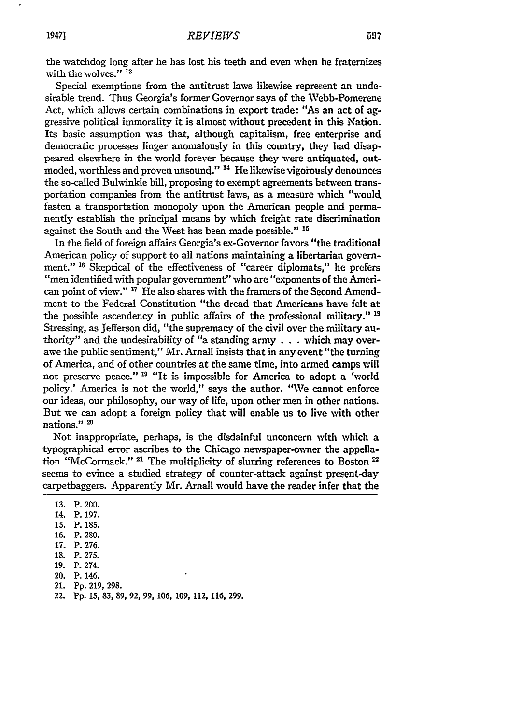## *REVIEWS*

the watchdog long after he has lost his teeth and even when he fraternizes with the wolves." **13**

Special exemptions from the antitrust laws likewise represent an undesirable trend. Thus Georgia's former Governor says of the Webb-Pomerene Act, which allows certain combinations in export trade: "As an act of aggressive political immorality it is almost without precedent in this Nation. Its basic assumption was that, although capitalism, free enterprise and democratic processes linger anomalously in this country, they had disappeared elsewhere in the world forever because they were antiquated, outmoded, worthless and proven unsound." <sup>14</sup> He likewise vigorously denounces the so-called Bulwinkle bill, proposing to exempt agreements between transportation companies from the antitrust laws, as a measure which "would. fasten a transportation monopoly upon the American people and permanently establish the principal means by which freight rate discrimination against the South and the West has been made possible." **15**

In the field of foreign affairs Georgia's ex-Governor favors "the traditional American policy of support to all nations maintaining a libertarian government." **16** Skeptical of the effectiveness of "career diplomats," he prefers "men identified with popular government" who are "exponents of the American point of view." **17** He also shares with the framers of the Second Amendment to the Federal Constitution "the dread that Americans have felt at the possible ascendency in public affairs of the professional military." **Is** Stressing, as Jefferson did, "the supremacy of the civil over the military authority" and the undesirability of "a standing army .**.**.which may overawe the public sentiment," Mr. Arnall insists that in any event "the turning of America, and of other countries at the same time, into armed camps will not preserve peace." **9** "It is impossible for America to adopt a 'world policy.' America is not the world," says the author. "We cannot enforce our ideas, our philosophy, our way of life, upon other men in other nations. But we can adopt a foreign policy that will enable us to live with other nations."<sup>20</sup>

Not inappropriate, perhaps, is the disdainful unconcern with which a typographical error ascribes to the Chicago newspaper-owner the appellation "McCormack." <sup>21</sup> The multiplicity of slurring references to Boston <sup>22</sup> seems to evince a studied strategy of counter-attack against present-day carpetbaggers. Apparently Mr. Arnall would have the reader infer that the

- **15.** P. 185.
- 16. P. 280.
- 17. P. 276.
- 18. P. 275.
- 19. P. 274.
- 20. P. 146.
- 21. Pp. 219, 298.
- 22. **Pp. 15, 83, 89, 92, 99, 106, 109,** 112, **116, 299.**

<sup>13.</sup> P. 200.

<sup>14.</sup> P. 197.